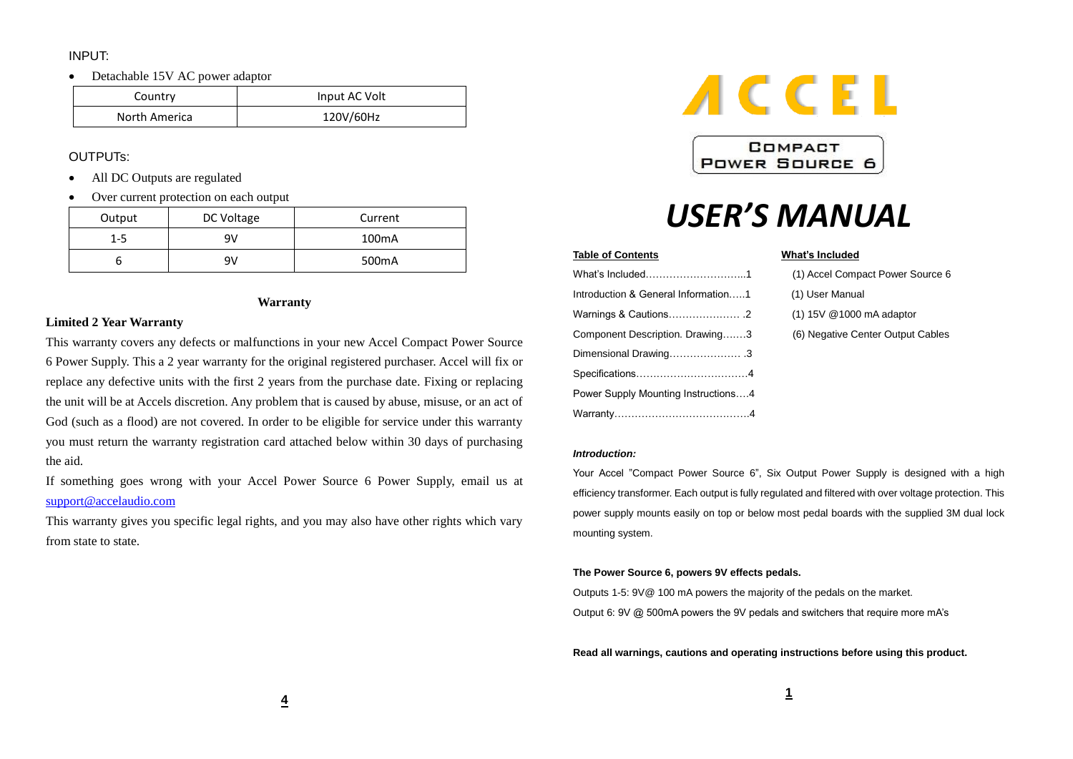# INPUT:

• Detachable 15V AC power adaptor

| Country       | Input AC Volt |
|---------------|---------------|
| North America | 120V/60Hz     |

# OUTPUTs:

- All DC Outputs are regulated
- Over current protection on each output

| Output  | DC Voltage | Current            |
|---------|------------|--------------------|
| $1 - 5$ | 9V         | 100 <sub>m</sub> A |
|         | ۹V         | 500 <sub>m</sub> A |

# **Warranty**

# **Limited 2 Year Warranty**

This warranty covers any defects or malfunctions in your new Accel Compact Power Source 6 Power Supply. This a 2 year warranty for the original registered purchaser. Accel will fix or replace any defective units with the first 2 years from the purchase date. Fixing or replacing the unit will be at Accels discretion. Any problem that is caused by abuse, misuse, or an act of God (such as a flood) are not covered. In order to be eligible for service under this warranty you must return the warranty registration card attached below within 30 days of purchasing the aid.

If something goes wrong with your Accel Power Source 6 Power Supply, email us at [support@accelaudio.com](mailto:support@accelaudio.com)

This warranty gives you specific legal rights, and you may also have other rights which vary from state to state.



COMPACT **POWER SOURCE 6** 

# *USER'S MANUAL*

### **Table of Contents What's Included**

|                                     | (1) Accel Compact Power Source 6  |
|-------------------------------------|-----------------------------------|
| Introduction & General Information1 | (1) User Manual                   |
|                                     | (1) 15V @1000 mA adaptor          |
| Component Description. Drawing3     | (6) Negative Center Output Cables |
| Dimensional Drawing3                |                                   |
|                                     |                                   |
| Power Supply Mounting Instructions4 |                                   |
|                                     |                                   |

| (1) Accel Compact Power Source 6  |
|-----------------------------------|
| (1) User Manual                   |
| (1) 15V @1000 mA adaptor          |
| (6) Negative Center Output Cables |
|                                   |

### *Introduction:*

Your Accel "Compact Power Source 6", Six Output Power Supply is designed with a high efficiency transformer. Each output is fully regulated and filtered with over voltage protection. This power supply mounts easily on top or below most pedal boards with the supplied 3M dual lock mounting system.

### **The Power Source 6, powers 9V effects pedals.**

Outputs 1-5: 9V@ 100 mA powers the majority of the pedals on the market. Output 6: 9V @ 500mA powers the 9V pedals and switchers that require more mA's

**Read all warnings, cautions and operating instructions before using this product.**